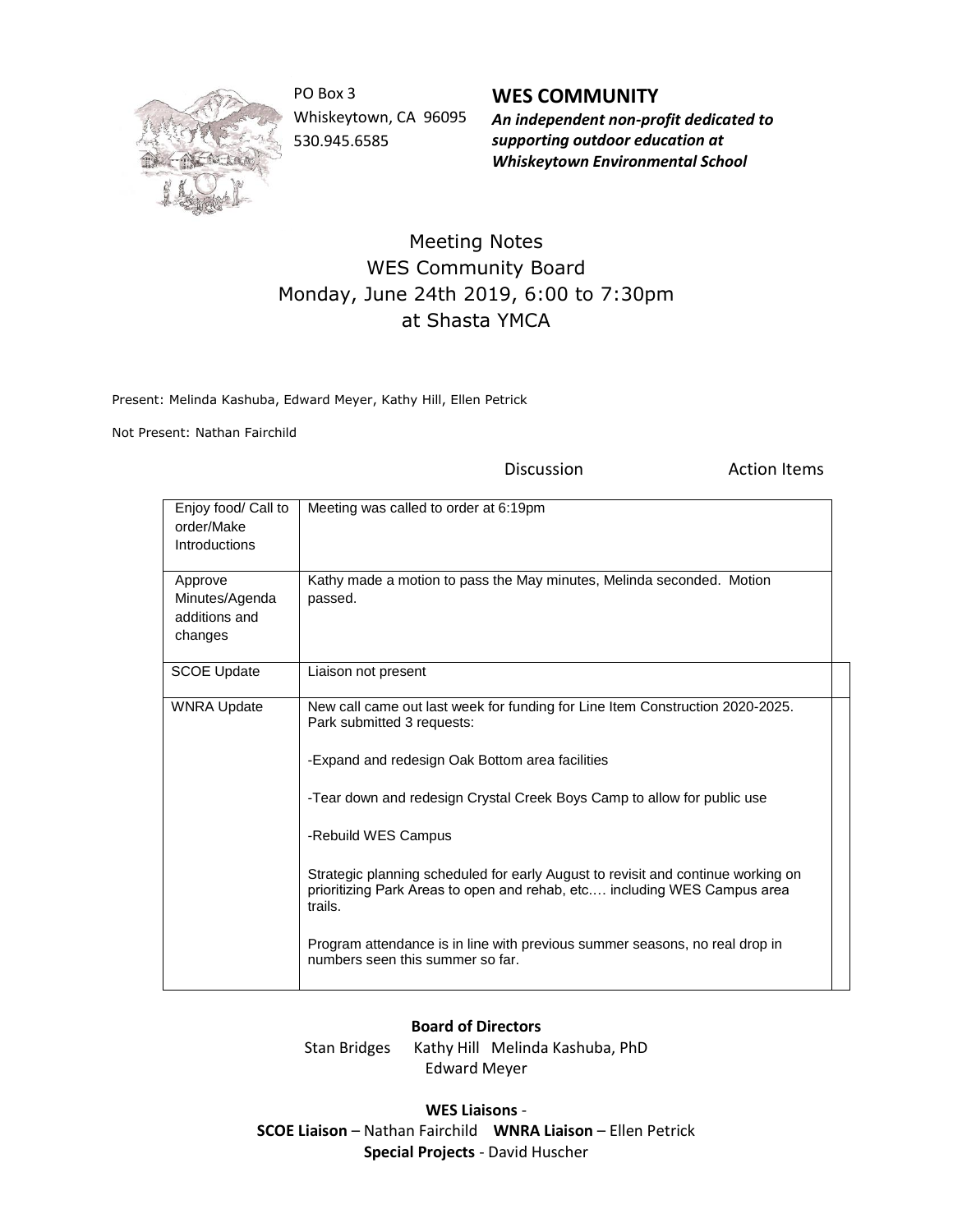

PO Box 3 Whiskeytown, CA 96095 530.945.6585

**WES COMMUNITY** *An independent non-profit dedicated to supporting outdoor education at Whiskeytown Environmental School*

## Meeting Notes WES Community Board Monday, June 24th 2019, 6:00 to 7:30pm at Shasta YMCA

Present: Melinda Kashuba, Edward Meyer, Kathy Hill, Ellen Petrick

Not Present: Nathan Fairchild

Discussion **Action Items** 

| Enjoy food/ Call to<br>order/Make<br>Introductions    | Meeting was called to order at 6:19pm                                                                                                                                   |
|-------------------------------------------------------|-------------------------------------------------------------------------------------------------------------------------------------------------------------------------|
| Approve<br>Minutes/Agenda<br>additions and<br>changes | Kathy made a motion to pass the May minutes, Melinda seconded. Motion<br>passed.                                                                                        |
| <b>SCOE Update</b>                                    | Liaison not present                                                                                                                                                     |
| <b>WNRA Update</b>                                    | New call came out last week for funding for Line Item Construction 2020-2025.<br>Park submitted 3 requests:                                                             |
|                                                       | -Expand and redesign Oak Bottom area facilities                                                                                                                         |
|                                                       | -Tear down and redesign Crystal Creek Boys Camp to allow for public use                                                                                                 |
|                                                       | -Rebuild WES Campus                                                                                                                                                     |
|                                                       | Strategic planning scheduled for early August to revisit and continue working on<br>prioritizing Park Areas to open and rehab, etc including WES Campus area<br>trails. |
|                                                       | Program attendance is in line with previous summer seasons, no real drop in<br>numbers seen this summer so far.                                                         |

## **Board of Directors**

Stan Bridges Kathy Hill Melinda Kashuba, PhD Edward Meyer

**WES Liaisons** - **SCOE Liaison** – Nathan Fairchild **WNRA Liaison** – Ellen Petrick **Special Projects** - David Huscher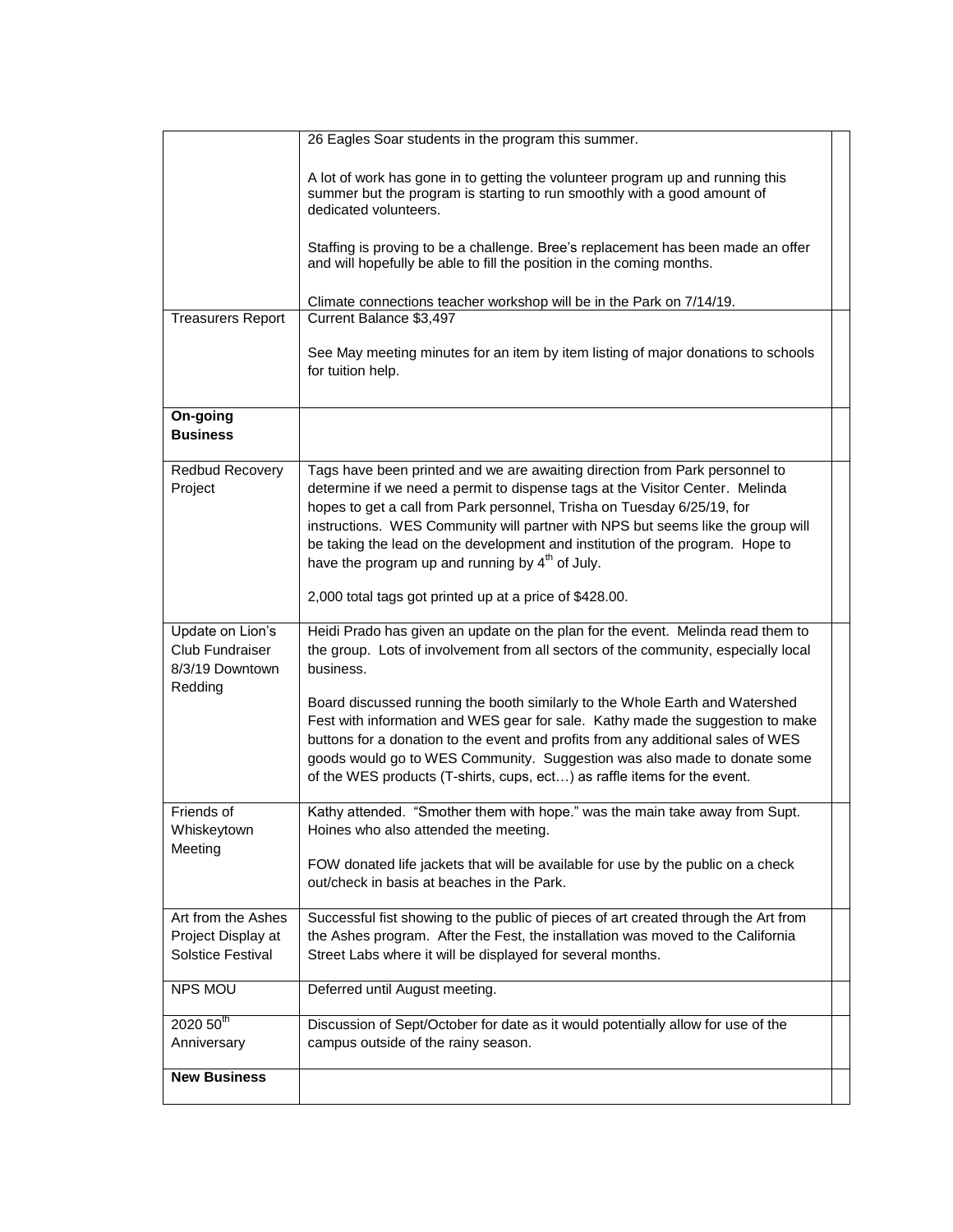|                                                                   | 26 Eagles Soar students in the program this summer.                                                                                                                                                                                                                                                                                                                                                                                                              |  |
|-------------------------------------------------------------------|------------------------------------------------------------------------------------------------------------------------------------------------------------------------------------------------------------------------------------------------------------------------------------------------------------------------------------------------------------------------------------------------------------------------------------------------------------------|--|
|                                                                   | A lot of work has gone in to getting the volunteer program up and running this<br>summer but the program is starting to run smoothly with a good amount of<br>dedicated volunteers.                                                                                                                                                                                                                                                                              |  |
|                                                                   | Staffing is proving to be a challenge. Bree's replacement has been made an offer<br>and will hopefully be able to fill the position in the coming months.                                                                                                                                                                                                                                                                                                        |  |
| <b>Treasurers Report</b>                                          | Climate connections teacher workshop will be in the Park on 7/14/19.<br>Current Balance \$3,497                                                                                                                                                                                                                                                                                                                                                                  |  |
|                                                                   | See May meeting minutes for an item by item listing of major donations to schools<br>for tuition help.                                                                                                                                                                                                                                                                                                                                                           |  |
| On-going<br><b>Business</b>                                       |                                                                                                                                                                                                                                                                                                                                                                                                                                                                  |  |
| Redbud Recovery<br>Project                                        | Tags have been printed and we are awaiting direction from Park personnel to<br>determine if we need a permit to dispense tags at the Visitor Center. Melinda<br>hopes to get a call from Park personnel, Trisha on Tuesday 6/25/19, for<br>instructions. WES Community will partner with NPS but seems like the group will<br>be taking the lead on the development and institution of the program. Hope to<br>have the program up and running by $4th$ of July. |  |
|                                                                   | 2,000 total tags got printed up at a price of \$428.00.                                                                                                                                                                                                                                                                                                                                                                                                          |  |
| Update on Lion's<br>Club Fundraiser<br>8/3/19 Downtown<br>Redding | Heidi Prado has given an update on the plan for the event. Melinda read them to<br>the group. Lots of involvement from all sectors of the community, especially local<br>business.                                                                                                                                                                                                                                                                               |  |
|                                                                   | Board discussed running the booth similarly to the Whole Earth and Watershed<br>Fest with information and WES gear for sale. Kathy made the suggestion to make<br>buttons for a donation to the event and profits from any additional sales of WES<br>goods would go to WES Community. Suggestion was also made to donate some<br>of the WES products (T-shirts, cups, ect) as raffle items for the event.                                                       |  |
| Friends of<br>Whiskeytown                                         | Kathy attended. "Smother them with hope." was the main take away from Supt.<br>Hoines who also attended the meeting.                                                                                                                                                                                                                                                                                                                                             |  |
| Meeting                                                           | FOW donated life jackets that will be available for use by the public on a check<br>out/check in basis at beaches in the Park.                                                                                                                                                                                                                                                                                                                                   |  |
| Art from the Ashes                                                | Successful fist showing to the public of pieces of art created through the Art from                                                                                                                                                                                                                                                                                                                                                                              |  |
| Project Display at<br><b>Solstice Festival</b>                    | the Ashes program. After the Fest, the installation was moved to the California<br>Street Labs where it will be displayed for several months.                                                                                                                                                                                                                                                                                                                    |  |
| NPS MOU                                                           | Deferred until August meeting.                                                                                                                                                                                                                                                                                                                                                                                                                                   |  |
| $2020\,50^{\text{th}}$<br>Anniversary                             | Discussion of Sept/October for date as it would potentially allow for use of the<br>campus outside of the rainy season.                                                                                                                                                                                                                                                                                                                                          |  |
| <b>New Business</b>                                               |                                                                                                                                                                                                                                                                                                                                                                                                                                                                  |  |